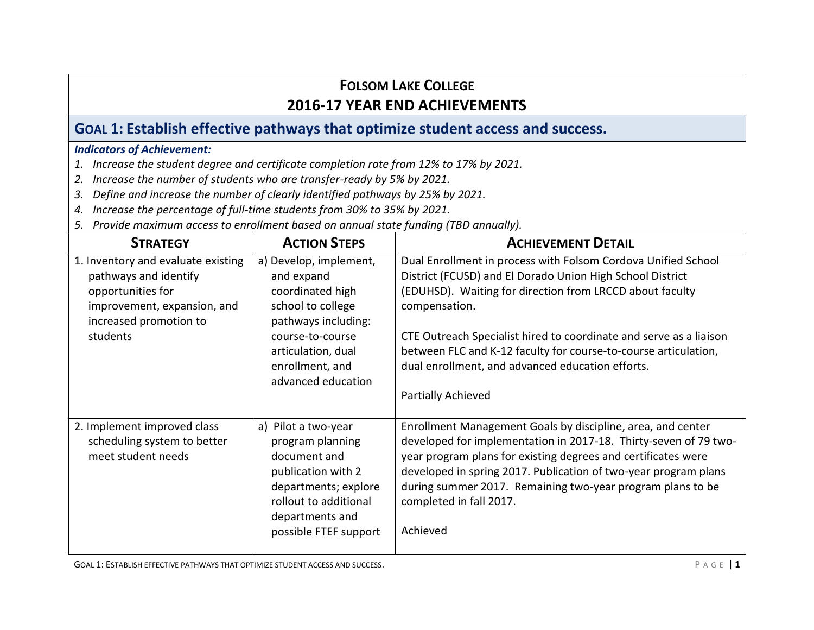## **GOAL 1: Establish effective pathways that optimize student access and success.**

#### *Indicators of Achievement:*

- *1. Increase the student degree and certificate completion rate from 12% to 17% by 2021.*
- *2. Increase the number of students who are transfer-ready by 5% by 2021.*
- *3. Define and increase the number of clearly identified pathways by 25% by 2021.*
- *4. Increase the percentage of full-time students from 30% to 35% by 2021.*
- *5. Provide maximum access to enrollment based on annual state funding (TBD annually).*

| <b>STRATEGY</b>                                                                                                                                       | <b>ACTION STEPS</b>                                                                                                                                                                     | <b>ACHIEVEMENT DETAIL</b>                                                                                                                                                                                                                                                                                                                                                                                                  |
|-------------------------------------------------------------------------------------------------------------------------------------------------------|-----------------------------------------------------------------------------------------------------------------------------------------------------------------------------------------|----------------------------------------------------------------------------------------------------------------------------------------------------------------------------------------------------------------------------------------------------------------------------------------------------------------------------------------------------------------------------------------------------------------------------|
| 1. Inventory and evaluate existing<br>pathways and identify<br>opportunities for<br>improvement, expansion, and<br>increased promotion to<br>students | a) Develop, implement,<br>and expand<br>coordinated high<br>school to college<br>pathways including:<br>course-to-course<br>articulation, dual<br>enrollment, and<br>advanced education | Dual Enrollment in process with Folsom Cordova Unified School<br>District (FCUSD) and El Dorado Union High School District<br>(EDUHSD). Waiting for direction from LRCCD about faculty<br>compensation.<br>CTE Outreach Specialist hired to coordinate and serve as a liaison<br>between FLC and K-12 faculty for course-to-course articulation,<br>dual enrollment, and advanced education efforts.<br>Partially Achieved |
| 2. Implement improved class<br>scheduling system to better<br>meet student needs                                                                      | a) Pilot a two-year<br>program planning<br>document and<br>publication with 2<br>departments; explore<br>rollout to additional<br>departments and<br>possible FTEF support              | Enrollment Management Goals by discipline, area, and center<br>developed for implementation in 2017-18. Thirty-seven of 79 two-<br>year program plans for existing degrees and certificates were<br>developed in spring 2017. Publication of two-year program plans<br>during summer 2017. Remaining two-year program plans to be<br>completed in fall 2017.<br>Achieved                                                   |

GOAL 1: ESTABLISH EFFECTIVE PATHWAYS THAT OPTIMIZE STUDENT ACCESS AND SUCCESS. **P A G E | 1**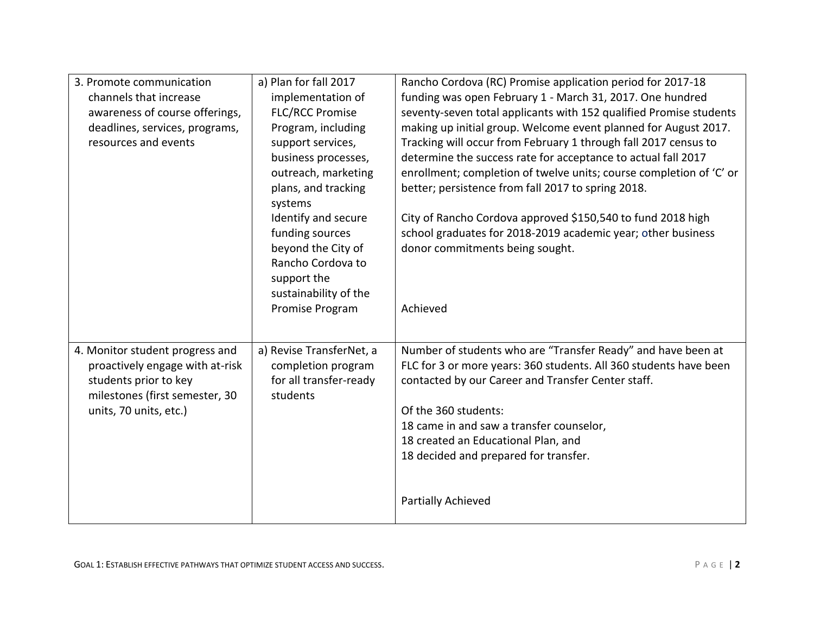| 3. Promote communication<br>channels that increase<br>awareness of course offerings,<br>deadlines, services, programs,<br>resources and events          | a) Plan for fall 2017<br>implementation of<br><b>FLC/RCC Promise</b><br>Program, including<br>support services,<br>business processes,<br>outreach, marketing<br>plans, and tracking<br>systems<br>Identify and secure<br>funding sources<br>beyond the City of<br>Rancho Cordova to<br>support the | Rancho Cordova (RC) Promise application period for 2017-18<br>funding was open February 1 - March 31, 2017. One hundred<br>seventy-seven total applicants with 152 qualified Promise students<br>making up initial group. Welcome event planned for August 2017.<br>Tracking will occur from February 1 through fall 2017 census to<br>determine the success rate for acceptance to actual fall 2017<br>enrollment; completion of twelve units; course completion of 'C' or<br>better; persistence from fall 2017 to spring 2018.<br>City of Rancho Cordova approved \$150,540 to fund 2018 high<br>school graduates for 2018-2019 academic year; other business<br>donor commitments being sought. |
|---------------------------------------------------------------------------------------------------------------------------------------------------------|-----------------------------------------------------------------------------------------------------------------------------------------------------------------------------------------------------------------------------------------------------------------------------------------------------|-----------------------------------------------------------------------------------------------------------------------------------------------------------------------------------------------------------------------------------------------------------------------------------------------------------------------------------------------------------------------------------------------------------------------------------------------------------------------------------------------------------------------------------------------------------------------------------------------------------------------------------------------------------------------------------------------------|
|                                                                                                                                                         | sustainability of the<br>Promise Program                                                                                                                                                                                                                                                            | Achieved                                                                                                                                                                                                                                                                                                                                                                                                                                                                                                                                                                                                                                                                                            |
| 4. Monitor student progress and<br>proactively engage with at-risk<br>students prior to key<br>milestones (first semester, 30<br>units, 70 units, etc.) | a) Revise TransferNet, a<br>completion program<br>for all transfer-ready<br>students                                                                                                                                                                                                                | Number of students who are "Transfer Ready" and have been at<br>FLC for 3 or more years: 360 students. All 360 students have been<br>contacted by our Career and Transfer Center staff.<br>Of the 360 students:<br>18 came in and saw a transfer counselor,<br>18 created an Educational Plan, and<br>18 decided and prepared for transfer.<br>Partially Achieved                                                                                                                                                                                                                                                                                                                                   |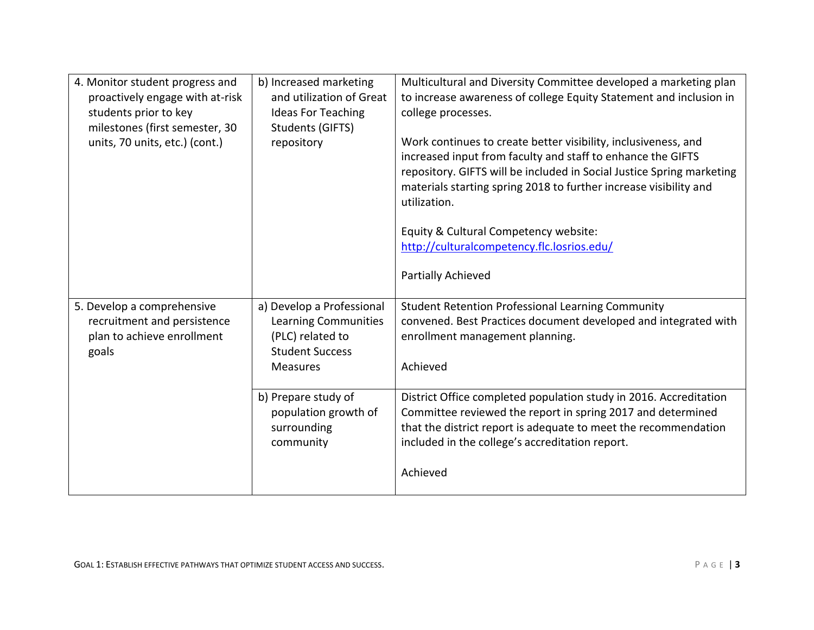| 4. Monitor student progress and<br>proactively engage with at-risk<br>students prior to key<br>milestones (first semester, 30<br>units, 70 units, etc.) (cont.) | b) Increased marketing<br>and utilization of Great<br><b>Ideas For Teaching</b><br>Students (GIFTS)<br>repository         | Multicultural and Diversity Committee developed a marketing plan<br>to increase awareness of college Equity Statement and inclusion in<br>college processes.<br>Work continues to create better visibility, inclusiveness, and<br>increased input from faculty and staff to enhance the GIFTS<br>repository. GIFTS will be included in Social Justice Spring marketing<br>materials starting spring 2018 to further increase visibility and<br>utilization.<br>Equity & Cultural Competency website:<br>http://culturalcompetency.flc.losrios.edu/<br>Partially Achieved |
|-----------------------------------------------------------------------------------------------------------------------------------------------------------------|---------------------------------------------------------------------------------------------------------------------------|--------------------------------------------------------------------------------------------------------------------------------------------------------------------------------------------------------------------------------------------------------------------------------------------------------------------------------------------------------------------------------------------------------------------------------------------------------------------------------------------------------------------------------------------------------------------------|
| 5. Develop a comprehensive<br>recruitment and persistence<br>plan to achieve enrollment<br>goals                                                                | a) Develop a Professional<br><b>Learning Communities</b><br>(PLC) related to<br><b>Student Success</b><br><b>Measures</b> | <b>Student Retention Professional Learning Community</b><br>convened. Best Practices document developed and integrated with<br>enrollment management planning.<br>Achieved                                                                                                                                                                                                                                                                                                                                                                                               |
|                                                                                                                                                                 | b) Prepare study of<br>population growth of<br>surrounding<br>community                                                   | District Office completed population study in 2016. Accreditation<br>Committee reviewed the report in spring 2017 and determined<br>that the district report is adequate to meet the recommendation<br>included in the college's accreditation report.<br>Achieved                                                                                                                                                                                                                                                                                                       |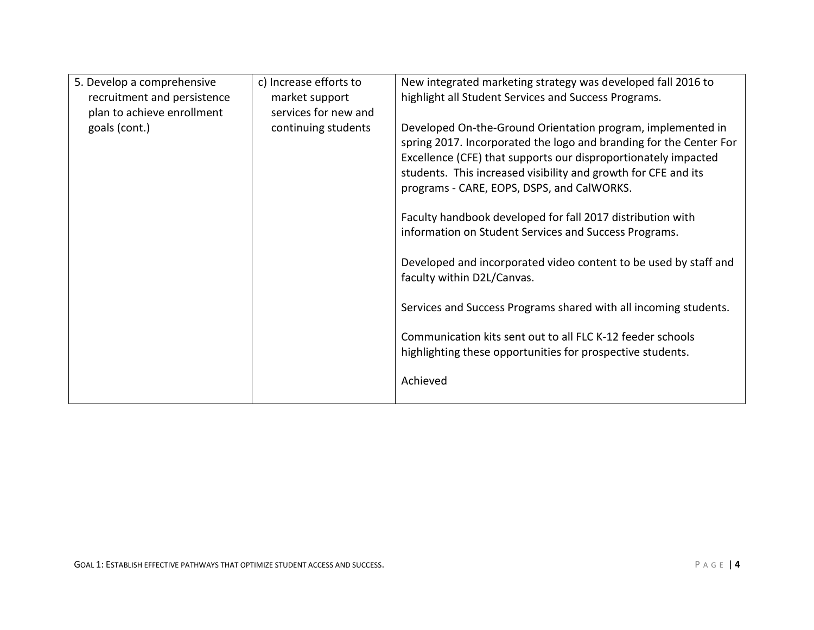| 5. Develop a comprehensive  | c) Increase efforts to | New integrated marketing strategy was developed fall 2016 to                                                                                                                                                                                                                                                                                                                                                                                                                                                                                                                                                                                                                                                                                             |
|-----------------------------|------------------------|----------------------------------------------------------------------------------------------------------------------------------------------------------------------------------------------------------------------------------------------------------------------------------------------------------------------------------------------------------------------------------------------------------------------------------------------------------------------------------------------------------------------------------------------------------------------------------------------------------------------------------------------------------------------------------------------------------------------------------------------------------|
| recruitment and persistence | market support         | highlight all Student Services and Success Programs.                                                                                                                                                                                                                                                                                                                                                                                                                                                                                                                                                                                                                                                                                                     |
| plan to achieve enrollment  | services for new and   |                                                                                                                                                                                                                                                                                                                                                                                                                                                                                                                                                                                                                                                                                                                                                          |
| goals (cont.)               | continuing students    | Developed On-the-Ground Orientation program, implemented in<br>spring 2017. Incorporated the logo and branding for the Center For<br>Excellence (CFE) that supports our disproportionately impacted<br>students. This increased visibility and growth for CFE and its<br>programs - CARE, EOPS, DSPS, and CalWORKS.<br>Faculty handbook developed for fall 2017 distribution with<br>information on Student Services and Success Programs.<br>Developed and incorporated video content to be used by staff and<br>faculty within D2L/Canvas.<br>Services and Success Programs shared with all incoming students.<br>Communication kits sent out to all FLC K-12 feeder schools<br>highlighting these opportunities for prospective students.<br>Achieved |
|                             |                        |                                                                                                                                                                                                                                                                                                                                                                                                                                                                                                                                                                                                                                                                                                                                                          |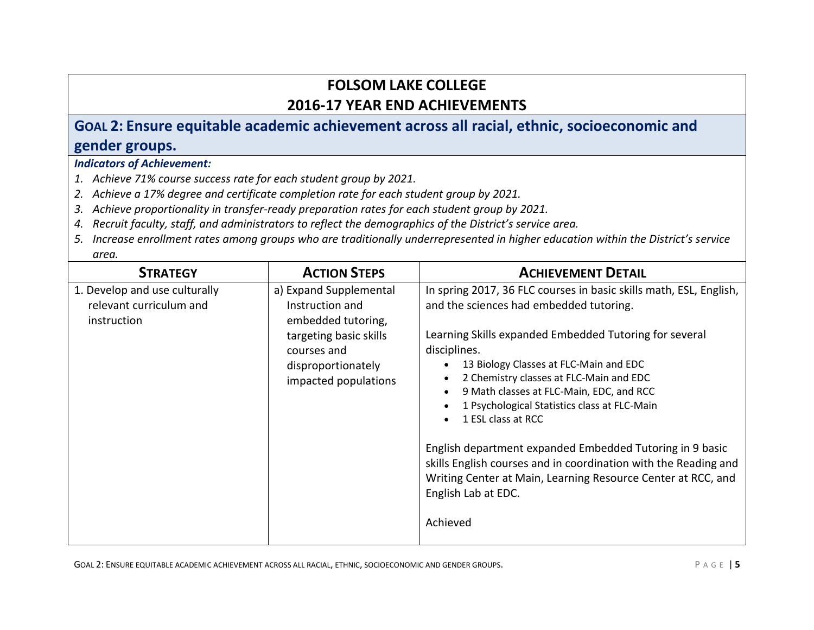# **GOAL 2: Ensure equitable academic achievement across all racial, ethnic, socioeconomic and gender groups.**

### *Indicators of Achievement:*

- *1. Achieve 71% course success rate for each student group by 2021.*
- *2. Achieve a 17% degree and certificate completion rate for each student group by 2021.*
- *3. Achieve proportionality in transfer-ready preparation rates for each student group by 2021.*
- *4. Recruit faculty, staff, and administrators to reflect the demographics of the District's service area.*
- *5. Increase enrollment rates among groups who are traditionally underrepresented in higher education within the District's service area.*

| <b>STRATEGY</b>                                                         | <b>ACTION STEPS</b>                                                                                                                                    | <b>ACHIEVEMENT DETAIL</b>                                                                                                                                                                                                                                                                                                                                                                                                                                                                                                                                                                                                        |
|-------------------------------------------------------------------------|--------------------------------------------------------------------------------------------------------------------------------------------------------|----------------------------------------------------------------------------------------------------------------------------------------------------------------------------------------------------------------------------------------------------------------------------------------------------------------------------------------------------------------------------------------------------------------------------------------------------------------------------------------------------------------------------------------------------------------------------------------------------------------------------------|
| 1. Develop and use culturally<br>relevant curriculum and<br>instruction | a) Expand Supplemental<br>Instruction and<br>embedded tutoring,<br>targeting basic skills<br>courses and<br>disproportionately<br>impacted populations | In spring 2017, 36 FLC courses in basic skills math, ESL, English,<br>and the sciences had embedded tutoring.<br>Learning Skills expanded Embedded Tutoring for several<br>disciplines.<br>13 Biology Classes at FLC-Main and EDC<br>2 Chemistry classes at FLC-Main and EDC<br>9 Math classes at FLC-Main, EDC, and RCC<br>1 Psychological Statistics class at FLC-Main<br>1 ESL class at RCC<br>English department expanded Embedded Tutoring in 9 basic<br>skills English courses and in coordination with the Reading and<br>Writing Center at Main, Learning Resource Center at RCC, and<br>English Lab at EDC.<br>Achieved |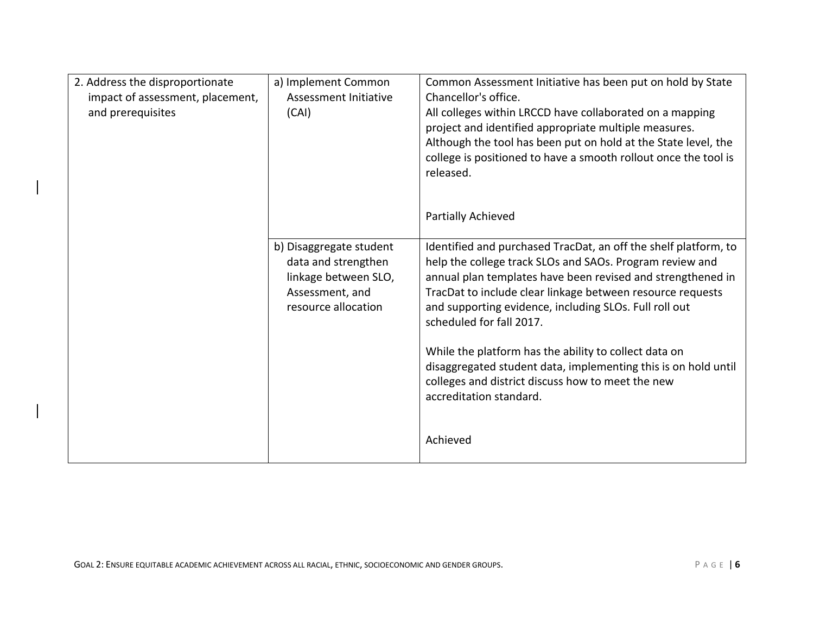| 2. Address the disproportionate<br>impact of assessment, placement,<br>and prerequisites | a) Implement Common<br>Assessment Initiative<br>(CAI)                                                            | Common Assessment Initiative has been put on hold by State<br>Chancellor's office.<br>All colleges within LRCCD have collaborated on a mapping<br>project and identified appropriate multiple measures.<br>Although the tool has been put on hold at the State level, the<br>college is positioned to have a smooth rollout once the tool is<br>released.                                                                                                                                                                                                 |
|------------------------------------------------------------------------------------------|------------------------------------------------------------------------------------------------------------------|-----------------------------------------------------------------------------------------------------------------------------------------------------------------------------------------------------------------------------------------------------------------------------------------------------------------------------------------------------------------------------------------------------------------------------------------------------------------------------------------------------------------------------------------------------------|
|                                                                                          |                                                                                                                  | Partially Achieved                                                                                                                                                                                                                                                                                                                                                                                                                                                                                                                                        |
|                                                                                          | b) Disaggregate student<br>data and strengthen<br>linkage between SLO,<br>Assessment, and<br>resource allocation | Identified and purchased TracDat, an off the shelf platform, to<br>help the college track SLOs and SAOs. Program review and<br>annual plan templates have been revised and strengthened in<br>TracDat to include clear linkage between resource requests<br>and supporting evidence, including SLOs. Full roll out<br>scheduled for fall 2017.<br>While the platform has the ability to collect data on<br>disaggregated student data, implementing this is on hold until<br>colleges and district discuss how to meet the new<br>accreditation standard. |
|                                                                                          |                                                                                                                  | Achieved                                                                                                                                                                                                                                                                                                                                                                                                                                                                                                                                                  |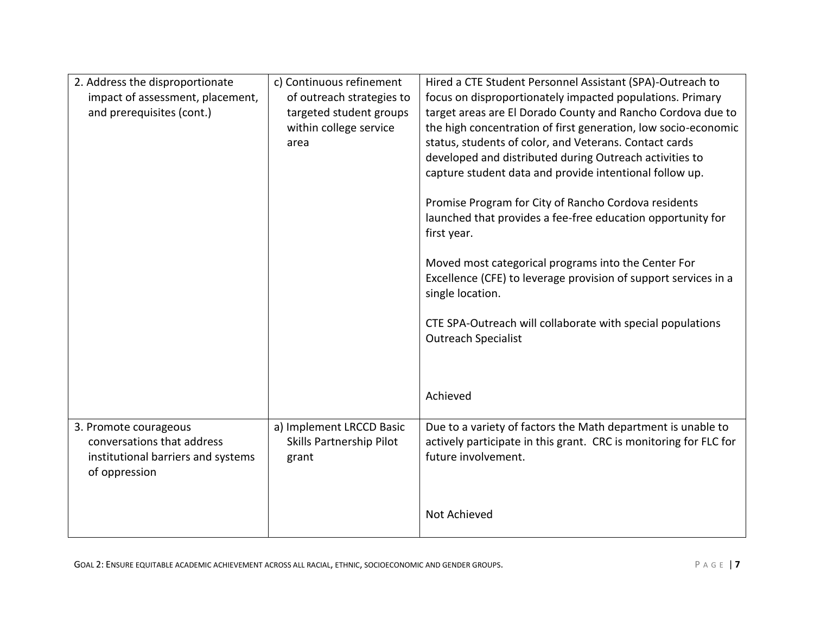| 2. Address the disproportionate<br>impact of assessment, placement,<br>and prerequisites (cont.)           | c) Continuous refinement<br>of outreach strategies to<br>targeted student groups<br>within college service<br>area | Hired a CTE Student Personnel Assistant (SPA)-Outreach to<br>focus on disproportionately impacted populations. Primary<br>target areas are El Dorado County and Rancho Cordova due to<br>the high concentration of first generation, low socio-economic<br>status, students of color, and Veterans. Contact cards<br>developed and distributed during Outreach activities to<br>capture student data and provide intentional follow up.<br>Promise Program for City of Rancho Cordova residents<br>launched that provides a fee-free education opportunity for<br>first year.<br>Moved most categorical programs into the Center For<br>Excellence (CFE) to leverage provision of support services in a<br>single location.<br>CTE SPA-Outreach will collaborate with special populations<br><b>Outreach Specialist</b><br>Achieved |
|------------------------------------------------------------------------------------------------------------|--------------------------------------------------------------------------------------------------------------------|-------------------------------------------------------------------------------------------------------------------------------------------------------------------------------------------------------------------------------------------------------------------------------------------------------------------------------------------------------------------------------------------------------------------------------------------------------------------------------------------------------------------------------------------------------------------------------------------------------------------------------------------------------------------------------------------------------------------------------------------------------------------------------------------------------------------------------------|
| 3. Promote courageous<br>conversations that address<br>institutional barriers and systems<br>of oppression | a) Implement LRCCD Basic<br>Skills Partnership Pilot<br>grant                                                      | Due to a variety of factors the Math department is unable to<br>actively participate in this grant. CRC is monitoring for FLC for<br>future involvement.<br>Not Achieved                                                                                                                                                                                                                                                                                                                                                                                                                                                                                                                                                                                                                                                            |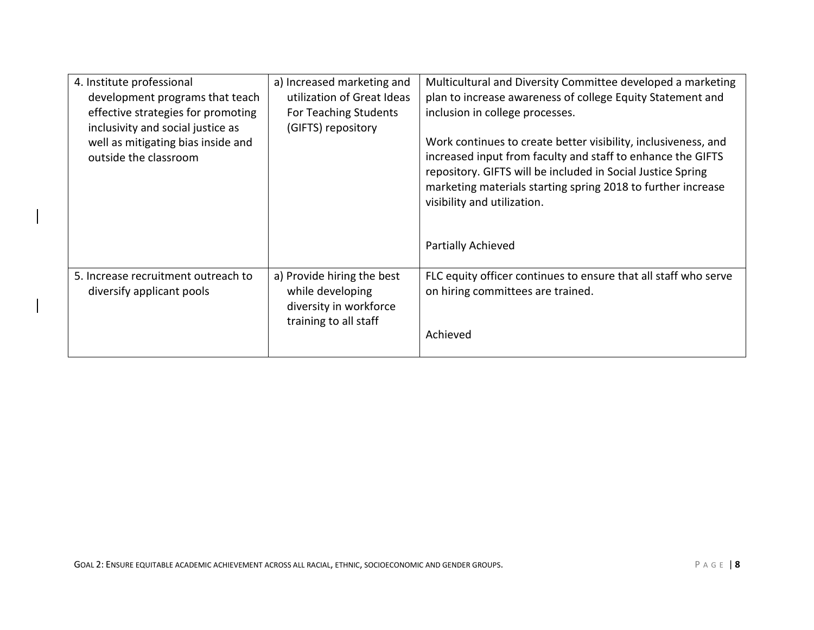| 4. Institute professional<br>development programs that teach            | a) Increased marketing and<br>utilization of Great Ideas                                          | Multicultural and Diversity Committee developed a marketing<br>plan to increase awareness of college Equity Statement and                                                                                                                                                                                         |
|-------------------------------------------------------------------------|---------------------------------------------------------------------------------------------------|-------------------------------------------------------------------------------------------------------------------------------------------------------------------------------------------------------------------------------------------------------------------------------------------------------------------|
| effective strategies for promoting<br>inclusivity and social justice as | For Teaching Students<br>(GIFTS) repository                                                       | inclusion in college processes.                                                                                                                                                                                                                                                                                   |
| well as mitigating bias inside and<br>outside the classroom             |                                                                                                   | Work continues to create better visibility, inclusiveness, and<br>increased input from faculty and staff to enhance the GIFTS<br>repository. GIFTS will be included in Social Justice Spring<br>marketing materials starting spring 2018 to further increase<br>visibility and utilization.<br>Partially Achieved |
| 5. Increase recruitment outreach to<br>diversify applicant pools        | a) Provide hiring the best<br>while developing<br>diversity in workforce<br>training to all staff | FLC equity officer continues to ensure that all staff who serve<br>on hiring committees are trained.<br>Achieved                                                                                                                                                                                                  |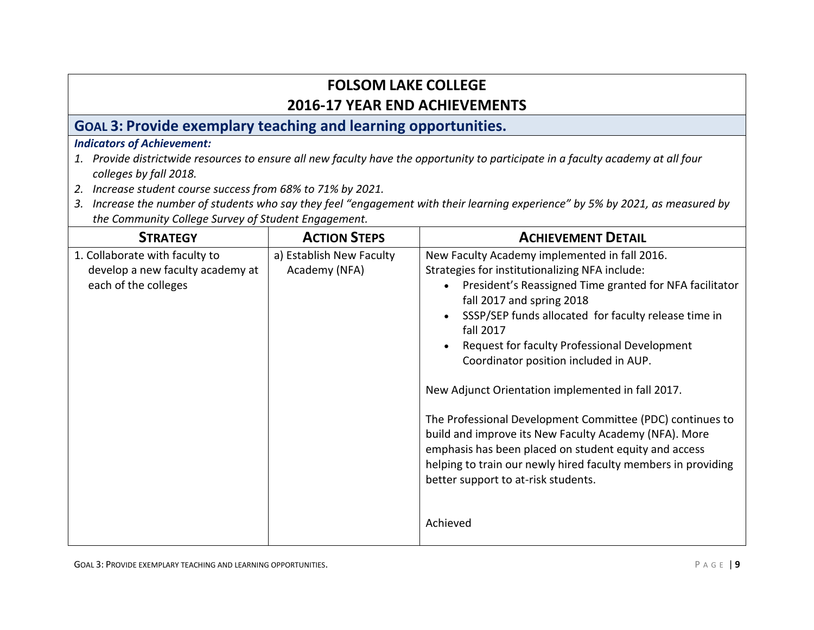## **GOAL 3: Provide exemplary teaching and learning opportunities.**

### *Indicators of Achievement:*

- *1. Provide districtwide resources to ensure all new faculty have the opportunity to participate in a faculty academy at all four colleges by fall 2018.*
- *2. Increase student course success from 68% to 71% by 2021.*
- *3. Increase the number of students who say they feel "engagement with their learning experience" by 5% by 2021, as measured by the Community College Survey of Student Engagement.*

| <b>STRATEGY</b>                  | <b>ACTION STEPS</b>      | <b>ACHIEVEMENT DETAIL</b>                                            |
|----------------------------------|--------------------------|----------------------------------------------------------------------|
| 1. Collaborate with faculty to   | a) Establish New Faculty | New Faculty Academy implemented in fall 2016.                        |
| develop a new faculty academy at | Academy (NFA)            | Strategies for institutionalizing NFA include:                       |
| each of the colleges             |                          | President's Reassigned Time granted for NFA facilitator<br>$\bullet$ |
|                                  |                          | fall 2017 and spring 2018                                            |
|                                  |                          | SSSP/SEP funds allocated for faculty release time in                 |
|                                  |                          | fall 2017                                                            |
|                                  |                          | Request for faculty Professional Development                         |
|                                  |                          | Coordinator position included in AUP.                                |
|                                  |                          | New Adjunct Orientation implemented in fall 2017.                    |
|                                  |                          | The Professional Development Committee (PDC) continues to            |
|                                  |                          | build and improve its New Faculty Academy (NFA). More                |
|                                  |                          | emphasis has been placed on student equity and access                |
|                                  |                          | helping to train our newly hired faculty members in providing        |
|                                  |                          | better support to at-risk students.                                  |
|                                  |                          |                                                                      |
|                                  |                          | Achieved                                                             |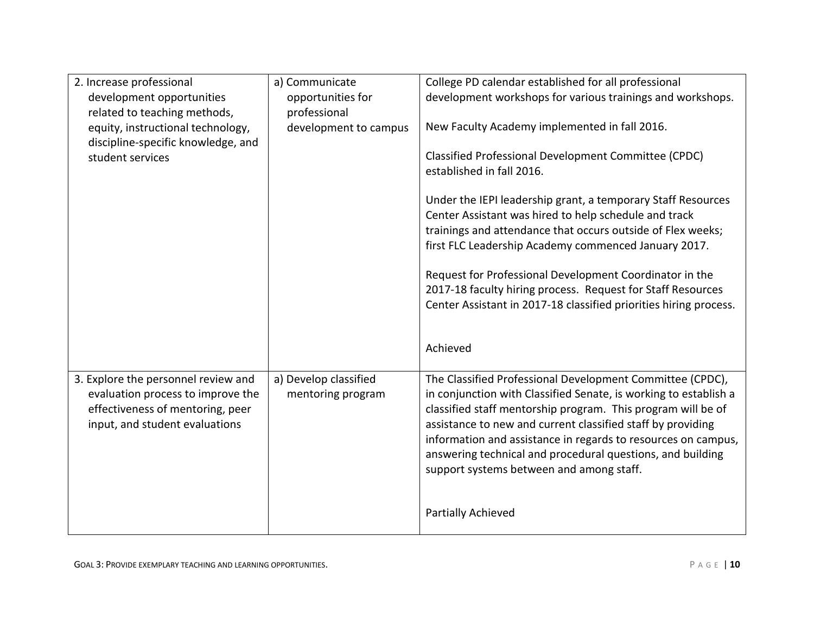| 2. Increase professional            | a) Communicate        | College PD calendar established for all professional              |
|-------------------------------------|-----------------------|-------------------------------------------------------------------|
| development opportunities           | opportunities for     | development workshops for various trainings and workshops.        |
| related to teaching methods,        | professional          |                                                                   |
| equity, instructional technology,   | development to campus | New Faculty Academy implemented in fall 2016.                     |
| discipline-specific knowledge, and  |                       |                                                                   |
| student services                    |                       | Classified Professional Development Committee (CPDC)              |
|                                     |                       | established in fall 2016.                                         |
|                                     |                       |                                                                   |
|                                     |                       | Under the IEPI leadership grant, a temporary Staff Resources      |
|                                     |                       | Center Assistant was hired to help schedule and track             |
|                                     |                       | trainings and attendance that occurs outside of Flex weeks;       |
|                                     |                       | first FLC Leadership Academy commenced January 2017.              |
|                                     |                       |                                                                   |
|                                     |                       | Request for Professional Development Coordinator in the           |
|                                     |                       | 2017-18 faculty hiring process. Request for Staff Resources       |
|                                     |                       | Center Assistant in 2017-18 classified priorities hiring process. |
|                                     |                       |                                                                   |
|                                     |                       | Achieved                                                          |
|                                     |                       |                                                                   |
| 3. Explore the personnel review and | a) Develop classified | The Classified Professional Development Committee (CPDC),         |
| evaluation process to improve the   | mentoring program     | in conjunction with Classified Senate, is working to establish a  |
| effectiveness of mentoring, peer    |                       | classified staff mentorship program. This program will be of      |
| input, and student evaluations      |                       | assistance to new and current classified staff by providing       |
|                                     |                       | information and assistance in regards to resources on campus,     |
|                                     |                       | answering technical and procedural questions, and building        |
|                                     |                       | support systems between and among staff.                          |
|                                     |                       |                                                                   |
|                                     |                       |                                                                   |
|                                     |                       | Partially Achieved                                                |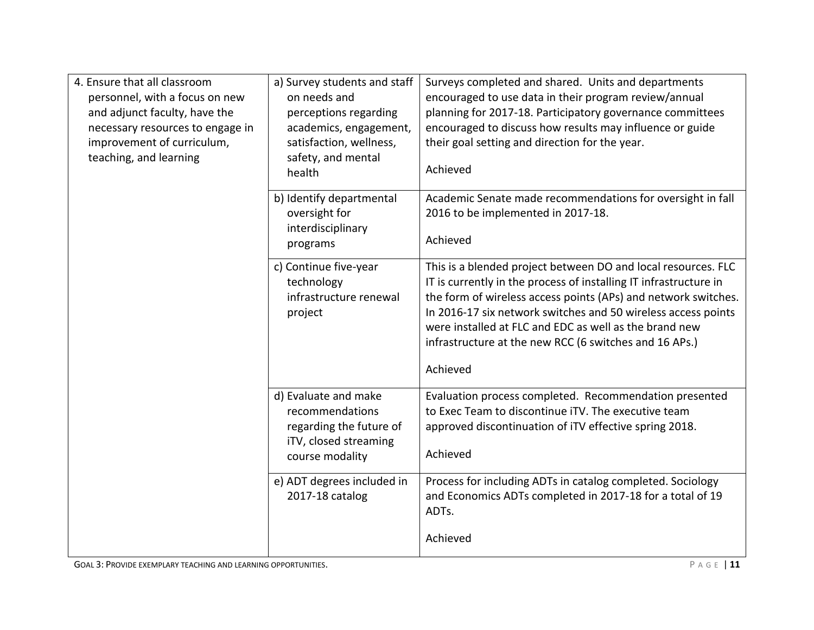| 4. Ensure that all classroom<br>personnel, with a focus on new<br>and adjunct faculty, have the<br>necessary resources to engage in<br>improvement of curriculum,<br>teaching, and learning | a) Survey students and staff<br>on needs and<br>perceptions regarding<br>academics, engagement,<br>satisfaction, wellness,<br>safety, and mental<br>health | Surveys completed and shared. Units and departments<br>encouraged to use data in their program review/annual<br>planning for 2017-18. Participatory governance committees<br>encouraged to discuss how results may influence or guide<br>their goal setting and direction for the year.<br>Achieved                                                                                                   |
|---------------------------------------------------------------------------------------------------------------------------------------------------------------------------------------------|------------------------------------------------------------------------------------------------------------------------------------------------------------|-------------------------------------------------------------------------------------------------------------------------------------------------------------------------------------------------------------------------------------------------------------------------------------------------------------------------------------------------------------------------------------------------------|
|                                                                                                                                                                                             | b) Identify departmental<br>oversight for<br>interdisciplinary<br>programs                                                                                 | Academic Senate made recommendations for oversight in fall<br>2016 to be implemented in 2017-18.<br>Achieved                                                                                                                                                                                                                                                                                          |
|                                                                                                                                                                                             | c) Continue five-year<br>technology<br>infrastructure renewal<br>project                                                                                   | This is a blended project between DO and local resources. FLC<br>IT is currently in the process of installing IT infrastructure in<br>the form of wireless access points (APs) and network switches.<br>In 2016-17 six network switches and 50 wireless access points<br>were installed at FLC and EDC as well as the brand new<br>infrastructure at the new RCC (6 switches and 16 APs.)<br>Achieved |
|                                                                                                                                                                                             | d) Evaluate and make<br>recommendations<br>regarding the future of<br>iTV, closed streaming<br>course modality                                             | Evaluation process completed. Recommendation presented<br>to Exec Team to discontinue iTV. The executive team<br>approved discontinuation of iTV effective spring 2018.<br>Achieved                                                                                                                                                                                                                   |
|                                                                                                                                                                                             | e) ADT degrees included in<br>2017-18 catalog                                                                                                              | Process for including ADTs in catalog completed. Sociology<br>and Economics ADTs completed in 2017-18 for a total of 19<br>ADTs.<br>Achieved                                                                                                                                                                                                                                                          |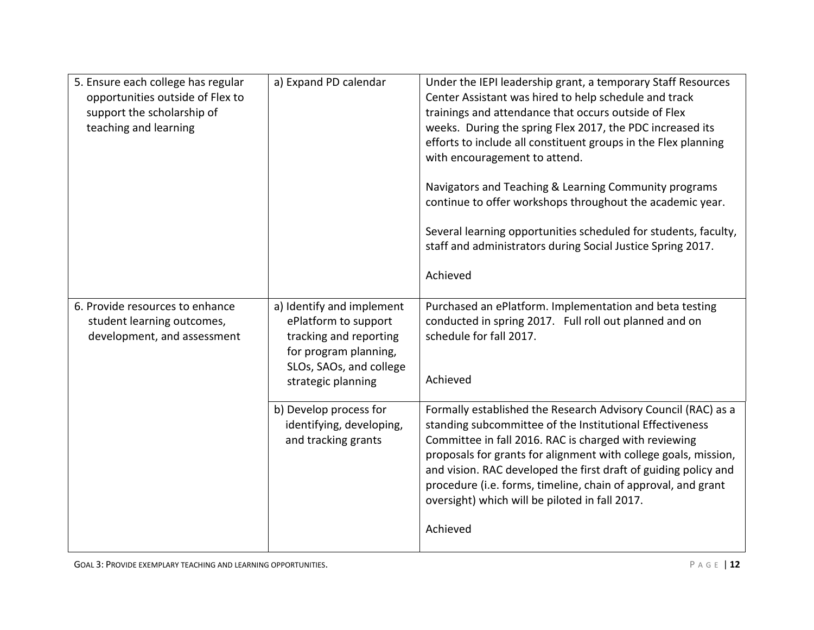| 5. Ensure each college has regular<br>opportunities outside of Flex to<br>support the scholarship of<br>teaching and learning | a) Expand PD calendar                                                                                                                                                                                                              | Under the IEPI leadership grant, a temporary Staff Resources<br>Center Assistant was hired to help schedule and track<br>trainings and attendance that occurs outside of Flex<br>weeks. During the spring Flex 2017, the PDC increased its<br>efforts to include all constituent groups in the Flex planning<br>with encouragement to attend.<br>Navigators and Teaching & Learning Community programs<br>continue to offer workshops throughout the academic year.<br>Several learning opportunities scheduled for students, faculty,<br>staff and administrators during Social Justice Spring 2017.<br>Achieved   |
|-------------------------------------------------------------------------------------------------------------------------------|------------------------------------------------------------------------------------------------------------------------------------------------------------------------------------------------------------------------------------|---------------------------------------------------------------------------------------------------------------------------------------------------------------------------------------------------------------------------------------------------------------------------------------------------------------------------------------------------------------------------------------------------------------------------------------------------------------------------------------------------------------------------------------------------------------------------------------------------------------------|
| 6. Provide resources to enhance<br>student learning outcomes,<br>development, and assessment                                  | a) Identify and implement<br>ePlatform to support<br>tracking and reporting<br>for program planning,<br>SLOs, SAOs, and college<br>strategic planning<br>b) Develop process for<br>identifying, developing,<br>and tracking grants | Purchased an ePlatform. Implementation and beta testing<br>conducted in spring 2017. Full roll out planned and on<br>schedule for fall 2017.<br>Achieved<br>Formally established the Research Advisory Council (RAC) as a<br>standing subcommittee of the Institutional Effectiveness<br>Committee in fall 2016. RAC is charged with reviewing<br>proposals for grants for alignment with college goals, mission,<br>and vision. RAC developed the first draft of guiding policy and<br>procedure (i.e. forms, timeline, chain of approval, and grant<br>oversight) which will be piloted in fall 2017.<br>Achieved |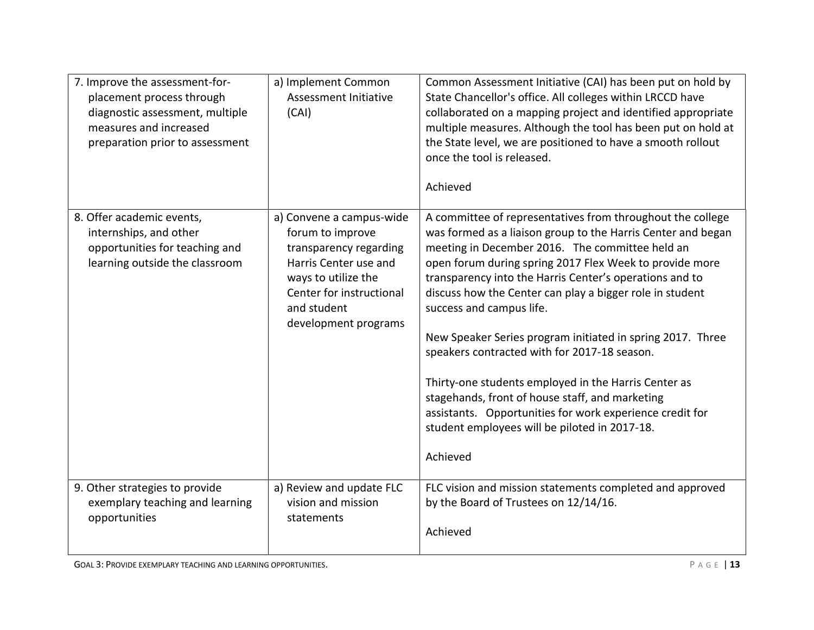| 7. Improve the assessment-for-<br>placement process through<br>diagnostic assessment, multiple<br>measures and increased<br>preparation prior to assessment | a) Implement Common<br>Assessment Initiative<br>(CAI)                                                                                                                                     | Common Assessment Initiative (CAI) has been put on hold by<br>State Chancellor's office. All colleges within LRCCD have<br>collaborated on a mapping project and identified appropriate<br>multiple measures. Although the tool has been put on hold at<br>the State level, we are positioned to have a smooth rollout<br>once the tool is released.<br>Achieved                                                                                                                                                                                                                                                                                                                                                                              |
|-------------------------------------------------------------------------------------------------------------------------------------------------------------|-------------------------------------------------------------------------------------------------------------------------------------------------------------------------------------------|-----------------------------------------------------------------------------------------------------------------------------------------------------------------------------------------------------------------------------------------------------------------------------------------------------------------------------------------------------------------------------------------------------------------------------------------------------------------------------------------------------------------------------------------------------------------------------------------------------------------------------------------------------------------------------------------------------------------------------------------------|
| 8. Offer academic events,<br>internships, and other<br>opportunities for teaching and<br>learning outside the classroom                                     | a) Convene a campus-wide<br>forum to improve<br>transparency regarding<br>Harris Center use and<br>ways to utilize the<br>Center for instructional<br>and student<br>development programs | A committee of representatives from throughout the college<br>was formed as a liaison group to the Harris Center and began<br>meeting in December 2016. The committee held an<br>open forum during spring 2017 Flex Week to provide more<br>transparency into the Harris Center's operations and to<br>discuss how the Center can play a bigger role in student<br>success and campus life.<br>New Speaker Series program initiated in spring 2017. Three<br>speakers contracted with for 2017-18 season.<br>Thirty-one students employed in the Harris Center as<br>stagehands, front of house staff, and marketing<br>assistants. Opportunities for work experience credit for<br>student employees will be piloted in 2017-18.<br>Achieved |
| 9. Other strategies to provide<br>exemplary teaching and learning<br>opportunities                                                                          | a) Review and update FLC<br>vision and mission<br>statements                                                                                                                              | FLC vision and mission statements completed and approved<br>by the Board of Trustees on 12/14/16.<br>Achieved                                                                                                                                                                                                                                                                                                                                                                                                                                                                                                                                                                                                                                 |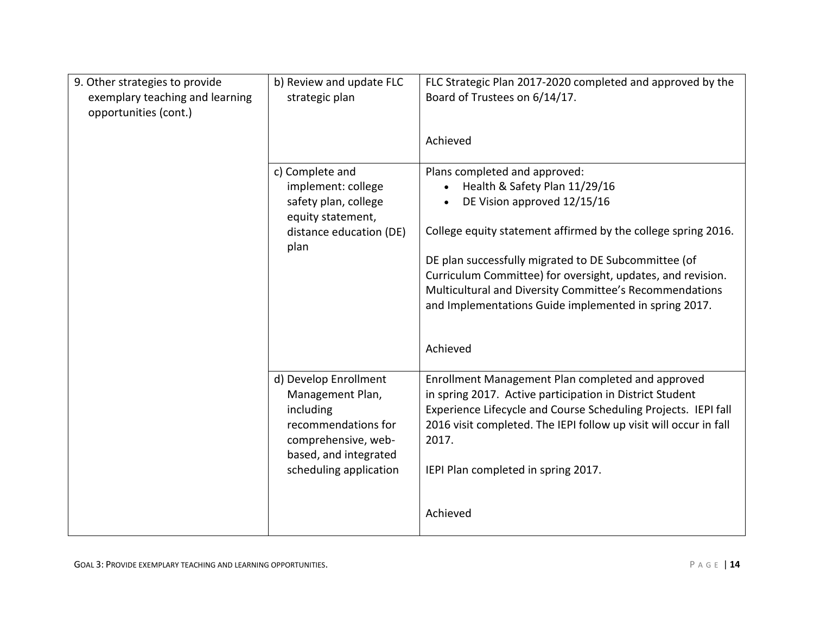| 9. Other strategies to provide<br>exemplary teaching and learning<br>opportunities (cont.) | b) Review and update FLC<br>strategic plan                                                                                                              | FLC Strategic Plan 2017-2020 completed and approved by the<br>Board of Trustees on 6/14/17.<br>Achieved                                                                                                                                                                                                                                                                                                               |
|--------------------------------------------------------------------------------------------|---------------------------------------------------------------------------------------------------------------------------------------------------------|-----------------------------------------------------------------------------------------------------------------------------------------------------------------------------------------------------------------------------------------------------------------------------------------------------------------------------------------------------------------------------------------------------------------------|
|                                                                                            | c) Complete and<br>implement: college<br>safety plan, college<br>equity statement,<br>distance education (DE)<br>plan                                   | Plans completed and approved:<br>Health & Safety Plan 11/29/16<br>DE Vision approved 12/15/16<br>College equity statement affirmed by the college spring 2016.<br>DE plan successfully migrated to DE Subcommittee (of<br>Curriculum Committee) for oversight, updates, and revision.<br>Multicultural and Diversity Committee's Recommendations<br>and Implementations Guide implemented in spring 2017.<br>Achieved |
|                                                                                            | d) Develop Enrollment<br>Management Plan,<br>including<br>recommendations for<br>comprehensive, web-<br>based, and integrated<br>scheduling application | Enrollment Management Plan completed and approved<br>in spring 2017. Active participation in District Student<br>Experience Lifecycle and Course Scheduling Projects. IEPI fall<br>2016 visit completed. The IEPI follow up visit will occur in fall<br>2017.<br>IEPI Plan completed in spring 2017.<br>Achieved                                                                                                      |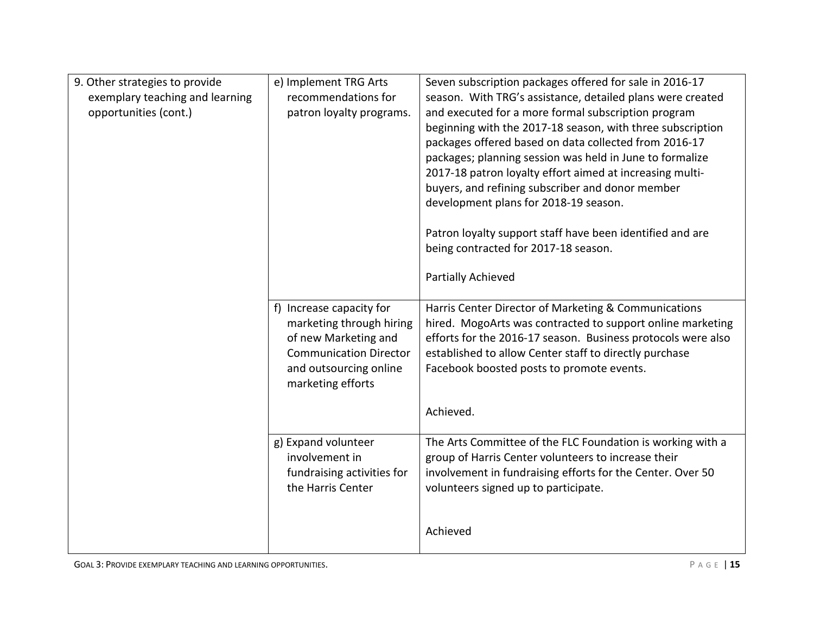| 9. Other strategies to provide<br>exemplary teaching and learning<br>opportunities (cont.) | e) Implement TRG Arts<br>recommendations for<br>patron loyalty programs.                                                                                     | Seven subscription packages offered for sale in 2016-17<br>season. With TRG's assistance, detailed plans were created<br>and executed for a more formal subscription program<br>beginning with the 2017-18 season, with three subscription<br>packages offered based on data collected from 2016-17<br>packages; planning session was held in June to formalize<br>2017-18 patron loyalty effort aimed at increasing multi-<br>buyers, and refining subscriber and donor member<br>development plans for 2018-19 season.<br>Patron loyalty support staff have been identified and are |
|--------------------------------------------------------------------------------------------|--------------------------------------------------------------------------------------------------------------------------------------------------------------|---------------------------------------------------------------------------------------------------------------------------------------------------------------------------------------------------------------------------------------------------------------------------------------------------------------------------------------------------------------------------------------------------------------------------------------------------------------------------------------------------------------------------------------------------------------------------------------|
|                                                                                            |                                                                                                                                                              | being contracted for 2017-18 season.<br>Partially Achieved                                                                                                                                                                                                                                                                                                                                                                                                                                                                                                                            |
|                                                                                            | f) Increase capacity for<br>marketing through hiring<br>of new Marketing and<br><b>Communication Director</b><br>and outsourcing online<br>marketing efforts | Harris Center Director of Marketing & Communications<br>hired. MogoArts was contracted to support online marketing<br>efforts for the 2016-17 season. Business protocols were also<br>established to allow Center staff to directly purchase<br>Facebook boosted posts to promote events.                                                                                                                                                                                                                                                                                             |
|                                                                                            |                                                                                                                                                              | Achieved.                                                                                                                                                                                                                                                                                                                                                                                                                                                                                                                                                                             |
|                                                                                            | g) Expand volunteer<br>involvement in<br>fundraising activities for<br>the Harris Center                                                                     | The Arts Committee of the FLC Foundation is working with a<br>group of Harris Center volunteers to increase their<br>involvement in fundraising efforts for the Center. Over 50<br>volunteers signed up to participate.                                                                                                                                                                                                                                                                                                                                                               |
|                                                                                            |                                                                                                                                                              | Achieved                                                                                                                                                                                                                                                                                                                                                                                                                                                                                                                                                                              |

GOAL 3: PROVIDE EXEMPLARY TEACHING AND LEARNING OPPORTUNITIES. **P** A G E | 15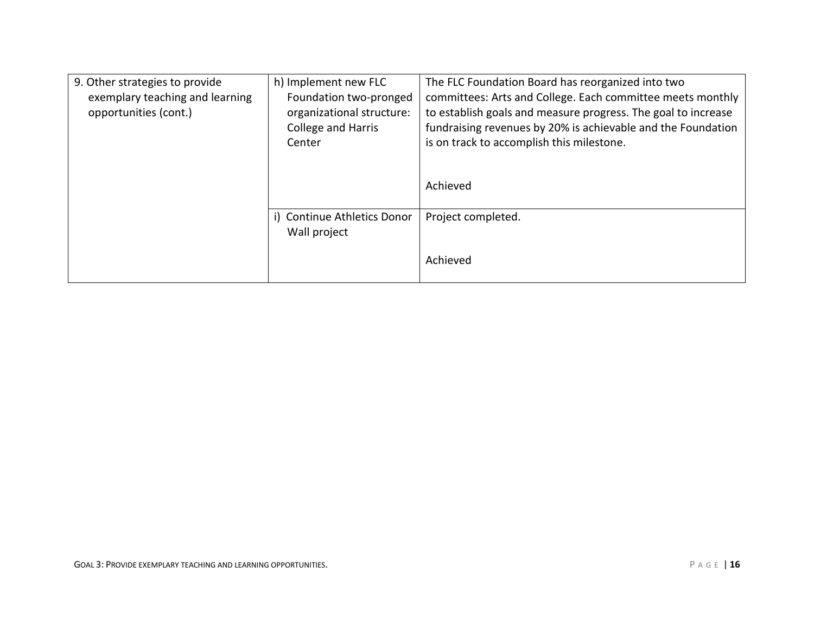| 9. Other strategies to provide<br>exemplary teaching and learning<br>opportunities (cont.) | h) Implement new FLC<br>Foundation two-pronged<br>organizational structure:<br><b>College and Harris</b><br>Center | The FLC Foundation Board has reorganized into two<br>committees: Arts and College. Each committee meets monthly<br>to establish goals and measure progress. The goal to increase<br>fundraising revenues by 20% is achievable and the Foundation<br>is on track to accomplish this milestone. |
|--------------------------------------------------------------------------------------------|--------------------------------------------------------------------------------------------------------------------|-----------------------------------------------------------------------------------------------------------------------------------------------------------------------------------------------------------------------------------------------------------------------------------------------|
|                                                                                            |                                                                                                                    | Achieved                                                                                                                                                                                                                                                                                      |
|                                                                                            | i) Continue Athletics Donor<br>Wall project                                                                        | Project completed.                                                                                                                                                                                                                                                                            |
|                                                                                            |                                                                                                                    | Achieved                                                                                                                                                                                                                                                                                      |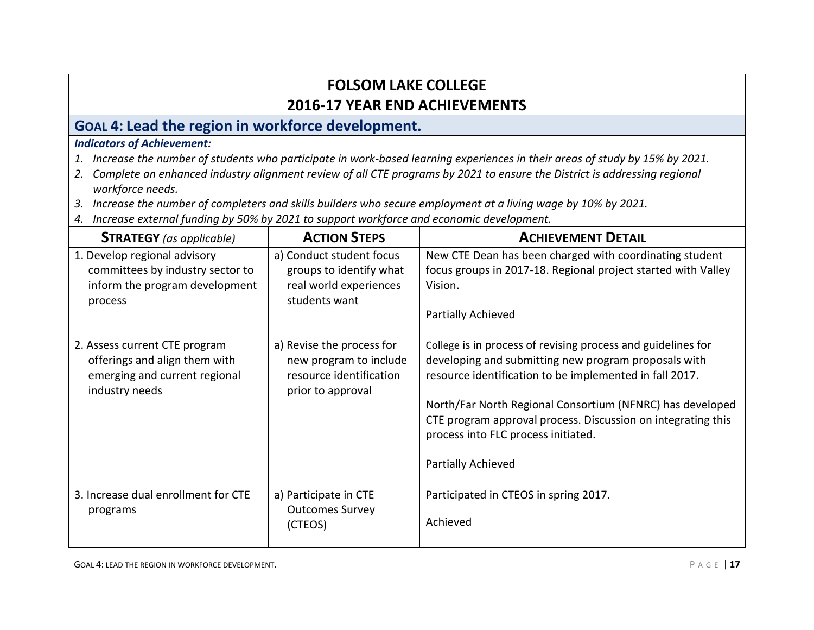### **GOAL 4: Lead the region in workforce development.**

### *Indicators of Achievement:*

- *1. Increase the number of students who participate in work-based learning experiences in their areas of study by 15% by 2021.*
- *2. Complete an enhanced industry alignment review of all CTE programs by 2021 to ensure the District is addressing regional workforce needs.*
- *3. Increase the number of completers and skills builders who secure employment at a living wage by 10% by 2021.*
- *4. Increase external funding by 50% by 2021 to support workforce and economic development.*

| <b>STRATEGY</b> (as applicable)                                                                                   | <b>ACTION STEPS</b>                                                                                 | <b>ACHIEVEMENT DETAIL</b>                                                                                                                                                                                                                                                                                                                                                 |
|-------------------------------------------------------------------------------------------------------------------|-----------------------------------------------------------------------------------------------------|---------------------------------------------------------------------------------------------------------------------------------------------------------------------------------------------------------------------------------------------------------------------------------------------------------------------------------------------------------------------------|
| 1. Develop regional advisory<br>committees by industry sector to<br>inform the program development<br>process     | a) Conduct student focus<br>groups to identify what<br>real world experiences<br>students want      | New CTE Dean has been charged with coordinating student<br>focus groups in 2017-18. Regional project started with Valley<br>Vision.<br>Partially Achieved                                                                                                                                                                                                                 |
| 2. Assess current CTE program<br>offerings and align them with<br>emerging and current regional<br>industry needs | a) Revise the process for<br>new program to include<br>resource identification<br>prior to approval | College is in process of revising process and guidelines for<br>developing and submitting new program proposals with<br>resource identification to be implemented in fall 2017.<br>North/Far North Regional Consortium (NFNRC) has developed<br>CTE program approval process. Discussion on integrating this<br>process into FLC process initiated.<br>Partially Achieved |
| 3. Increase dual enrollment for CTE<br>programs                                                                   | a) Participate in CTE<br><b>Outcomes Survey</b><br>(CTEOS)                                          | Participated in CTEOS in spring 2017.<br>Achieved                                                                                                                                                                                                                                                                                                                         |

GOAL 4: LEAD THE REGION IN WORKFORCE DEVELOPMENT.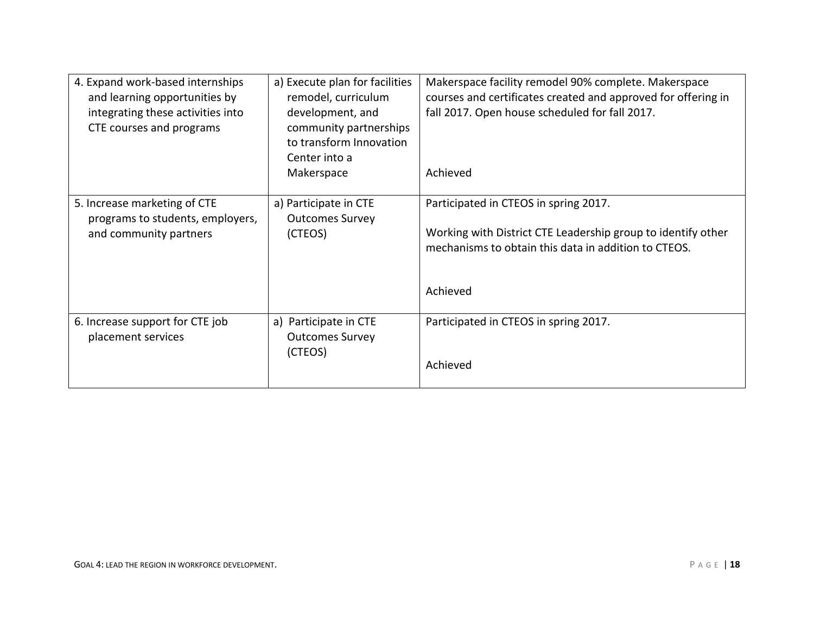| 4. Expand work-based internships<br>and learning opportunities by<br>integrating these activities into<br>CTE courses and programs | a) Execute plan for facilities<br>remodel, curriculum<br>development, and<br>community partnerships<br>to transform Innovation | Makerspace facility remodel 90% complete. Makerspace<br>courses and certificates created and approved for offering in<br>fall 2017. Open house scheduled for fall 2017.   |
|------------------------------------------------------------------------------------------------------------------------------------|--------------------------------------------------------------------------------------------------------------------------------|---------------------------------------------------------------------------------------------------------------------------------------------------------------------------|
|                                                                                                                                    | Center into a<br>Makerspace                                                                                                    | Achieved                                                                                                                                                                  |
| 5. Increase marketing of CTE<br>programs to students, employers,<br>and community partners                                         | a) Participate in CTE<br><b>Outcomes Survey</b><br>(CTEOS)                                                                     | Participated in CTEOS in spring 2017.<br>Working with District CTE Leadership group to identify other<br>mechanisms to obtain this data in addition to CTEOS.<br>Achieved |
| 6. Increase support for CTE job<br>placement services                                                                              | a) Participate in CTE<br><b>Outcomes Survey</b><br>(CTEOS)                                                                     | Participated in CTEOS in spring 2017.<br>Achieved                                                                                                                         |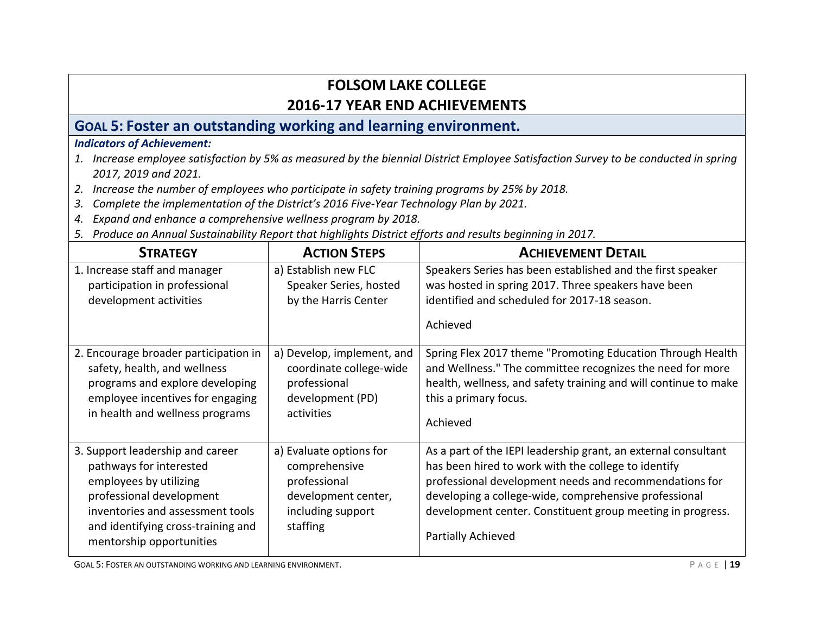## **GOAL 5: Foster an outstanding working and learning environment.**

#### *Indicators of Achievement:*

- *1. Increase employee satisfaction by 5% as measured by the biennial District Employee Satisfaction Survey to be conducted in spring 2017, 2019 and 2021.*
- *2. Increase the number of employees who participate in safety training programs by 25% by 2018.*
- *3. Complete the implementation of the District's 2016 Five-Year Technology Plan by 2021.*
- *4. Expand and enhance a comprehensive wellness program by 2018.*
- *5. Produce an Annual Sustainability Report that highlights District efforts and results beginning in 2017.*

| <b>STRATEGY</b>                                                                                                                                                                                                         | <b>ACTION STEPS</b>                                                                                              | <b>ACHIEVEMENT DETAIL</b>                                                                                                                                                                                                                                                                                                    |
|-------------------------------------------------------------------------------------------------------------------------------------------------------------------------------------------------------------------------|------------------------------------------------------------------------------------------------------------------|------------------------------------------------------------------------------------------------------------------------------------------------------------------------------------------------------------------------------------------------------------------------------------------------------------------------------|
| 1. Increase staff and manager<br>participation in professional<br>development activities                                                                                                                                | a) Establish new FLC<br>Speaker Series, hosted<br>by the Harris Center                                           | Speakers Series has been established and the first speaker<br>was hosted in spring 2017. Three speakers have been<br>identified and scheduled for 2017-18 season.<br>Achieved                                                                                                                                                |
| 2. Encourage broader participation in<br>safety, health, and wellness<br>programs and explore developing<br>employee incentives for engaging<br>in health and wellness programs                                         | a) Develop, implement, and<br>coordinate college-wide<br>professional<br>development (PD)<br>activities          | Spring Flex 2017 theme "Promoting Education Through Health<br>and Wellness." The committee recognizes the need for more<br>health, wellness, and safety training and will continue to make<br>this a primary focus.<br>Achieved                                                                                              |
| 3. Support leadership and career<br>pathways for interested<br>employees by utilizing<br>professional development<br>inventories and assessment tools<br>and identifying cross-training and<br>mentorship opportunities | a) Evaluate options for<br>comprehensive<br>professional<br>development center,<br>including support<br>staffing | As a part of the IEPI leadership grant, an external consultant<br>has been hired to work with the college to identify<br>professional development needs and recommendations for<br>developing a college-wide, comprehensive professional<br>development center. Constituent group meeting in progress.<br>Partially Achieved |

GOAL 5: FOSTER AN OUTSTANDING WORKING AND LEARNING ENVIRONMENT.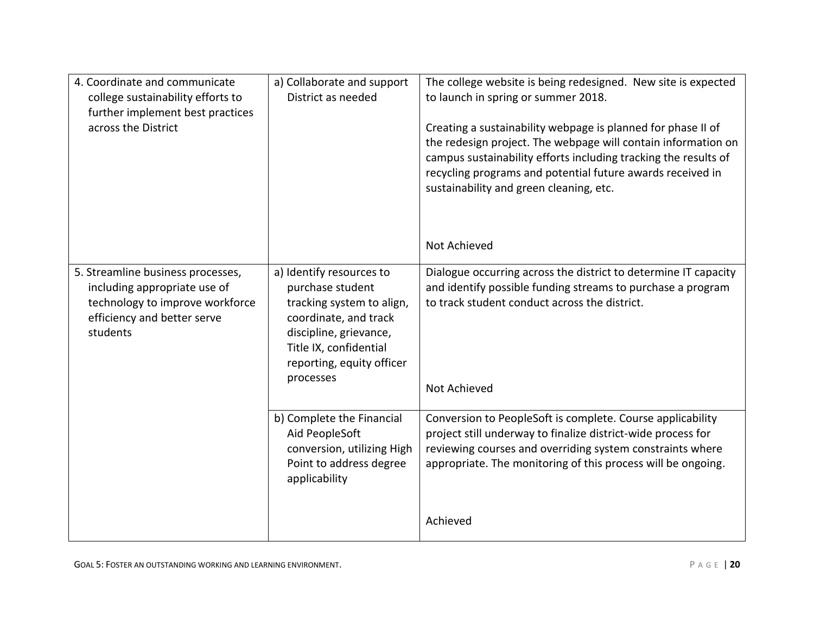| 4. Coordinate and communicate<br>college sustainability efforts to<br>further implement best practices<br>across the District                   | a) Collaborate and support<br>District as needed                                                                                                                                                 | The college website is being redesigned. New site is expected<br>to launch in spring or summer 2018.<br>Creating a sustainability webpage is planned for phase II of<br>the redesign project. The webpage will contain information on<br>campus sustainability efforts including tracking the results of<br>recycling programs and potential future awards received in<br>sustainability and green cleaning, etc.<br>Not Achieved |
|-------------------------------------------------------------------------------------------------------------------------------------------------|--------------------------------------------------------------------------------------------------------------------------------------------------------------------------------------------------|-----------------------------------------------------------------------------------------------------------------------------------------------------------------------------------------------------------------------------------------------------------------------------------------------------------------------------------------------------------------------------------------------------------------------------------|
| 5. Streamline business processes,<br>including appropriate use of<br>technology to improve workforce<br>efficiency and better serve<br>students | a) Identify resources to<br>purchase student<br>tracking system to align,<br>coordinate, and track<br>discipline, grievance,<br>Title IX, confidential<br>reporting, equity officer<br>processes | Dialogue occurring across the district to determine IT capacity<br>and identify possible funding streams to purchase a program<br>to track student conduct across the district.<br>Not Achieved                                                                                                                                                                                                                                   |
|                                                                                                                                                 | b) Complete the Financial<br>Aid PeopleSoft<br>conversion, utilizing High<br>Point to address degree<br>applicability                                                                            | Conversion to PeopleSoft is complete. Course applicability<br>project still underway to finalize district-wide process for<br>reviewing courses and overriding system constraints where<br>appropriate. The monitoring of this process will be ongoing.                                                                                                                                                                           |
|                                                                                                                                                 |                                                                                                                                                                                                  | Achieved                                                                                                                                                                                                                                                                                                                                                                                                                          |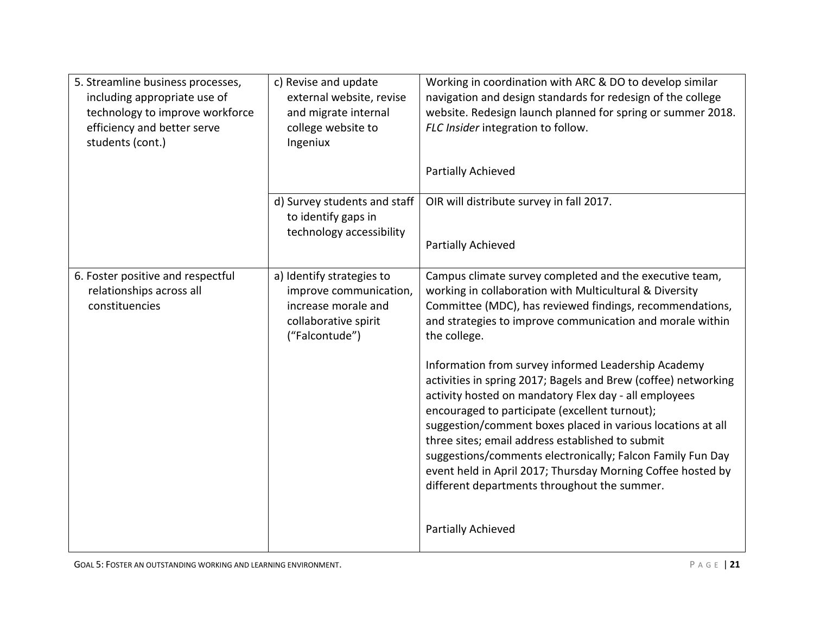| 5. Streamline business processes,<br>including appropriate use of<br>technology to improve workforce<br>efficiency and better serve<br>students (cont.) | c) Revise and update<br>external website, revise<br>and migrate internal<br>college website to<br>Ingeniux           | Working in coordination with ARC & DO to develop similar<br>navigation and design standards for redesign of the college<br>website. Redesign launch planned for spring or summer 2018.<br>FLC Insider integration to follow.<br>Partially Achieved                                                                                                                                                                                                                                                                               |
|---------------------------------------------------------------------------------------------------------------------------------------------------------|----------------------------------------------------------------------------------------------------------------------|----------------------------------------------------------------------------------------------------------------------------------------------------------------------------------------------------------------------------------------------------------------------------------------------------------------------------------------------------------------------------------------------------------------------------------------------------------------------------------------------------------------------------------|
|                                                                                                                                                         | d) Survey students and staff<br>to identify gaps in<br>technology accessibility                                      | OIR will distribute survey in fall 2017.<br>Partially Achieved                                                                                                                                                                                                                                                                                                                                                                                                                                                                   |
| 6. Foster positive and respectful<br>relationships across all<br>constituencies                                                                         | a) Identify strategies to<br>improve communication,<br>increase morale and<br>collaborative spirit<br>("Falcontude") | Campus climate survey completed and the executive team,<br>working in collaboration with Multicultural & Diversity<br>Committee (MDC), has reviewed findings, recommendations,<br>and strategies to improve communication and morale within<br>the college.                                                                                                                                                                                                                                                                      |
|                                                                                                                                                         |                                                                                                                      | Information from survey informed Leadership Academy<br>activities in spring 2017; Bagels and Brew (coffee) networking<br>activity hosted on mandatory Flex day - all employees<br>encouraged to participate (excellent turnout);<br>suggestion/comment boxes placed in various locations at all<br>three sites; email address established to submit<br>suggestions/comments electronically; Falcon Family Fun Day<br>event held in April 2017; Thursday Morning Coffee hosted by<br>different departments throughout the summer. |
|                                                                                                                                                         |                                                                                                                      | Partially Achieved                                                                                                                                                                                                                                                                                                                                                                                                                                                                                                               |

GOAL 5: FOSTER AN OUTSTANDING WORKING AND LEARNING ENVIRONMENT.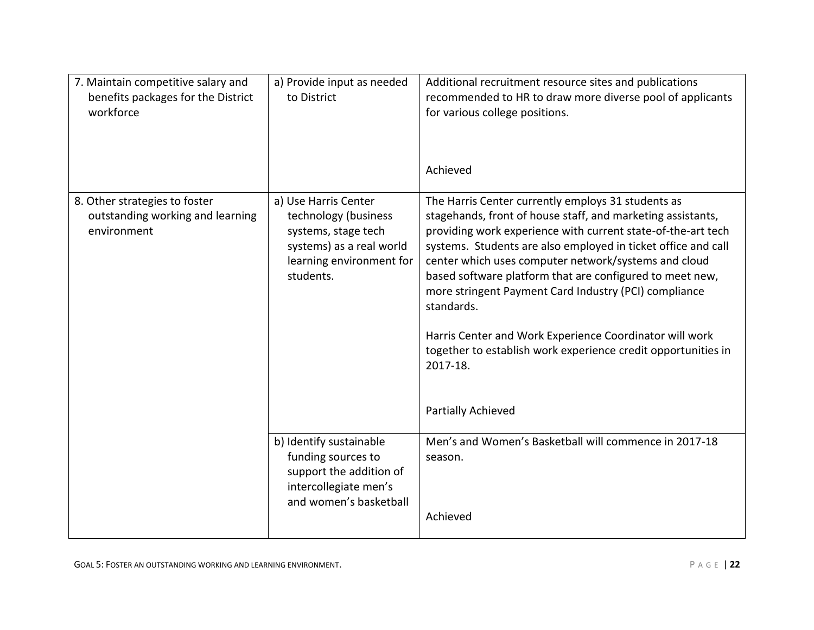| 7. Maintain competitive salary and<br>benefits packages for the District<br>workforce | a) Provide input as needed<br>to District                                                                                                | Additional recruitment resource sites and publications<br>recommended to HR to draw more diverse pool of applicants<br>for various college positions.<br>Achieved                                                                                                                                                                                                                                                                                                                                                                                                                                           |
|---------------------------------------------------------------------------------------|------------------------------------------------------------------------------------------------------------------------------------------|-------------------------------------------------------------------------------------------------------------------------------------------------------------------------------------------------------------------------------------------------------------------------------------------------------------------------------------------------------------------------------------------------------------------------------------------------------------------------------------------------------------------------------------------------------------------------------------------------------------|
| 8. Other strategies to foster<br>outstanding working and learning<br>environment      | a) Use Harris Center<br>technology (business<br>systems, stage tech<br>systems) as a real world<br>learning environment for<br>students. | The Harris Center currently employs 31 students as<br>stagehands, front of house staff, and marketing assistants,<br>providing work experience with current state-of-the-art tech<br>systems. Students are also employed in ticket office and call<br>center which uses computer network/systems and cloud<br>based software platform that are configured to meet new,<br>more stringent Payment Card Industry (PCI) compliance<br>standards.<br>Harris Center and Work Experience Coordinator will work<br>together to establish work experience credit opportunities in<br>2017-18.<br>Partially Achieved |
|                                                                                       | b) Identify sustainable<br>funding sources to<br>support the addition of<br>intercollegiate men's<br>and women's basketball              | Men's and Women's Basketball will commence in 2017-18<br>season.<br>Achieved                                                                                                                                                                                                                                                                                                                                                                                                                                                                                                                                |